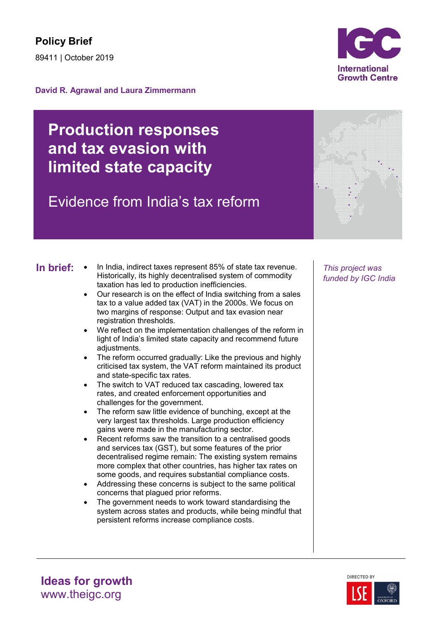#### **David R. Agrawal and Laura Zimmermann**

# **Production responses and tax evasion with limited state capacity**

# Evidence from India's tax reform

- In India, indirect taxes represent 85% of state tax revenue. **In brief:** *This project was*  Historically, its highly decentralised system of commodity taxation has led to production inefficiencies.
	- Our research is on the effect of India switching from a sales tax to a value added tax (VAT) in the 2000s. We focus on two margins of response: Output and tax evasion near registration thresholds.
	- We reflect on the implementation challenges of the reform in light of India's limited state capacity and recommend future adjustments.
	- The reform occurred gradually: Like the previous and highly criticised tax system, the VAT reform maintained its product and state-specific tax rates.
	- The switch to VAT reduced tax cascading, lowered tax rates, and created enforcement opportunities and challenges for the government.
	- The reform saw little evidence of bunching, except at the very largest tax thresholds. Large production efficiency gains were made in the manufacturing sector.
	- Recent reforms saw the transition to a centralised goods and services tax (GST), but some features of the prior decentralised regime remain: The existing system remains more complex that other countries, has higher tax rates on some goods, and requires substantial compliance costs.
	- Addressing these concerns is subject to the same political concerns that plagued prior reforms.
	- The government needs to work toward standardising the system across states and products, while being mindful that persistent reforms increase compliance costs.

*funded by IGC India*







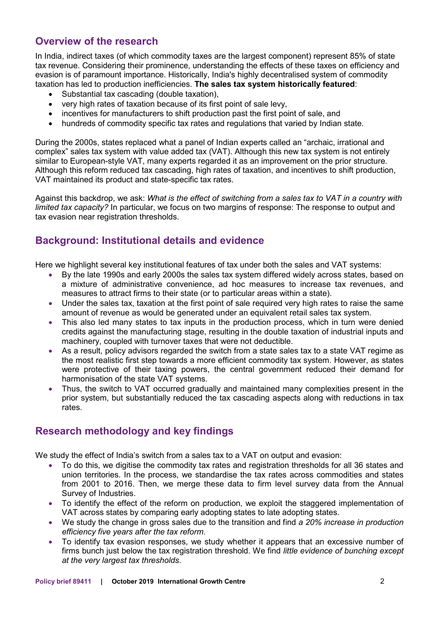## **Overview of the research**

In India, indirect taxes (of which commodity taxes are the largest component) represent 85% of state tax revenue. Considering their prominence, understanding the effects of these taxes on efficiency and evasion is of paramount importance. Historically, India's highly decentralised system of commodity taxation has led to production inefficiencies. **The sales tax system historically featured**:

- Substantial tax cascading (double taxation),
- very high rates of taxation because of its first point of sale levy,
- incentives for manufacturers to shift production past the first point of sale, and
- hundreds of commodity specific tax rates and regulations that varied by Indian state.

During the 2000s, states replaced what a panel of Indian experts called an "archaic, irrational and complex" sales tax system with value added tax (VAT). Although this new tax system is not entirely similar to European-style VAT, many experts regarded it as an improvement on the prior structure. Although this reform reduced tax cascading, high rates of taxation, and incentives to shift production, VAT maintained its product and state-specific tax rates.

Against this backdrop, we ask: *What is the effect of switching from a sales tax to VAT in a country with limited tax capacity?* In particular, we focus on two margins of response: The response to output and tax evasion near registration thresholds.

## **Background: Institutional details and evidence**

Here we highlight several key institutional features of tax under both the sales and VAT systems:

- By the late 1990s and early 2000s the sales tax system differed widely across states, based on a mixture of administrative convenience, ad hoc measures to increase tax revenues, and measures to attract firms to their state (or to particular areas within a state).
- Under the sales tax, taxation at the first point of sale required very high rates to raise the same amount of revenue as would be generated under an equivalent retail sales tax system.
- This also led many states to tax inputs in the production process, which in turn were denied credits against the manufacturing stage, resulting in the double taxation of industrial inputs and machinery, coupled with turnover taxes that were not deductible.
- As a result, policy advisors regarded the switch from a state sales tax to a state VAT regime as the most realistic first step towards a more efficient commodity tax system. However, as states were protective of their taxing powers, the central government reduced their demand for harmonisation of the state VAT systems.
- Thus, the switch to VAT occurred gradually and maintained many complexities present in the prior system, but substantially reduced the tax cascading aspects along with reductions in tax rates.

## **Research methodology and key findings**

We study the effect of India's switch from a sales tax to a VAT on output and evasion:

- To do this, we digitise the commodity tax rates and registration thresholds for all 36 states and union territories. In the process, we standardise the tax rates across commodities and states from 2001 to 2016. Then, we merge these data to firm level survey data from the Annual Survey of Industries.
- To identify the effect of the reform on production, we exploit the staggered implementation of VAT across states by comparing early adopting states to late adopting states.
- We study the change in gross sales due to the transition and find *a 20% increase in production efficiency five years after the tax reform*.
- To identify tax evasion responses, we study whether it appears that an excessive number of firms bunch just below the tax registration threshold. We find *little evidence of bunching except at the very largest tax thresholds*.